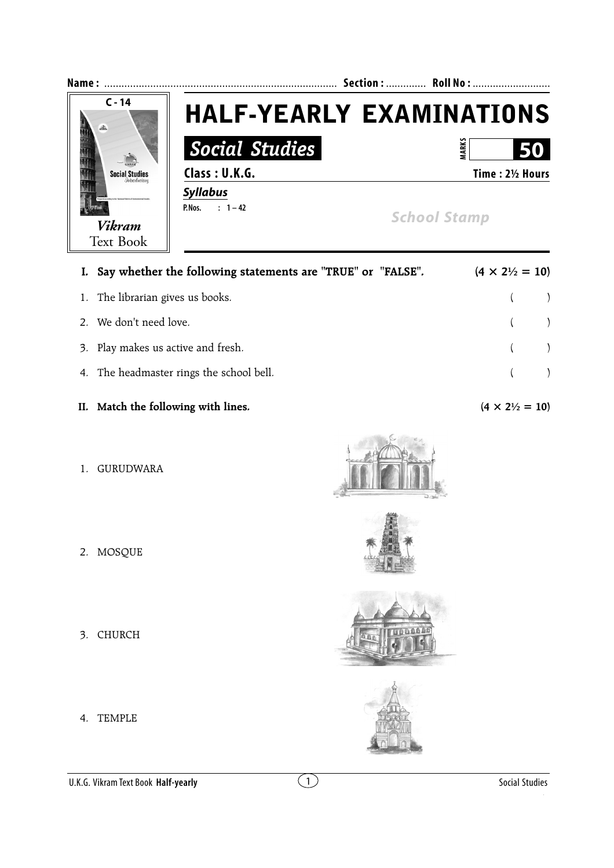

| I. Say whether the following statements are "TRUE" or "FALSE". | $(4 \times 2\frac{1}{2} = 10)$ |  |
|----------------------------------------------------------------|--------------------------------|--|
| 1. The librarian gives us books.                               | $($ $)$                        |  |
| 2. We don't need love.                                         | $($ $)$                        |  |
| 3. Play makes us active and fresh.                             | $($ $)$                        |  |
| 4. The headmaster rings the school bell.                       |                                |  |

- **II.** Match the following with lines.  $(4 \times 2\frac{1}{2}) = 10$
- 1. GURUDWARA

- 2. MOSQUE
- 3. CHURCH
- 4. TEMPLE